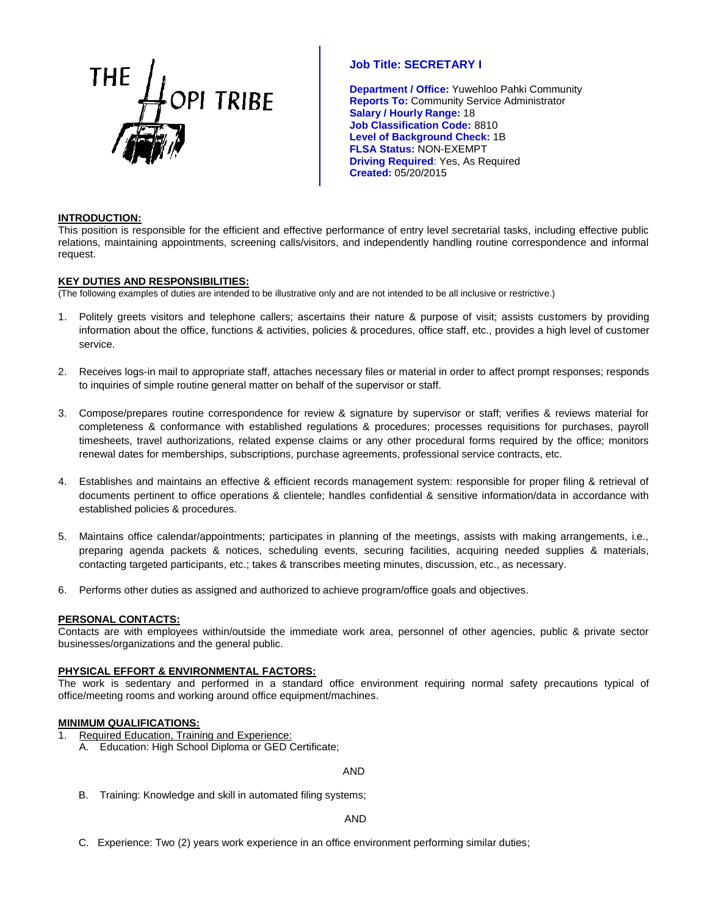

**Department / Office:** Yuwehloo Pahki Community **Reports To:** Community Service Administrator **Salary / Hourly Range:** 18 **Job Classification Code:** 8810 **Level of Background Check:** 1B **FLSA Status:** NON-EXEMPT **Driving Required**: Yes, As Required **Created:** 05/20/2015

# **INTRODUCTION:**

This position is responsible for the efficient and effective performance of entry level secretarial tasks, including effective public relations, maintaining appointments, screening calls/visitors, and independently handling routine correspondence and informal request.

# **KEY DUTIES AND RESPONSIBILITIES:**

(The following examples of duties are intended to be illustrative only and are not intended to be all inclusive or restrictive.)

- 1. Politely greets visitors and telephone callers; ascertains their nature & purpose of visit; assists customers by providing information about the office, functions & activities, policies & procedures, office staff, etc., provides a high level of customer service.
- 2. Receives logs-in mail to appropriate staff, attaches necessary files or material in order to affect prompt responses; responds to inquiries of simple routine general matter on behalf of the supervisor or staff.
- 3. Compose/prepares routine correspondence for review & signature by supervisor or staff; verifies & reviews material for completeness & conformance with established regulations & procedures; processes requisitions for purchases, payroll timesheets, travel authorizations, related expense claims or any other procedural forms required by the office; monitors renewal dates for memberships, subscriptions, purchase agreements, professional service contracts, etc.
- 4. Establishes and maintains an effective & efficient records management system: responsible for proper filing & retrieval of documents pertinent to office operations & clientele; handles confidential & sensitive information/data in accordance with established policies & procedures.
- 5. Maintains office calendar/appointments; participates in planning of the meetings, assists with making arrangements, i.e., preparing agenda packets & notices, scheduling events, securing facilities, acquiring needed supplies & materials, contacting targeted participants, etc.; takes & transcribes meeting minutes, discussion, etc., as necessary.
- 6. Performs other duties as assigned and authorized to achieve program/office goals and objectives.

### **PERSONAL CONTACTS:**

Contacts are with employees within/outside the immediate work area, personnel of other agencies, public & private sector businesses/organizations and the general public.

### **PHYSICAL EFFORT & ENVIRONMENTAL FACTORS:**

The work is sedentary and performed in a standard office environment requiring normal safety precautions typical of office/meeting rooms and working around office equipment/machines.

# **MINIMUM QUALIFICATIONS:**

- 1. Required Education, Training and Experience:
	- A. Education: High School Diploma or GED Certificate;

### AND

B. Training: Knowledge and skill in automated filing systems;

AND

C. Experience: Two (2) years work experience in an office environment performing similar duties;